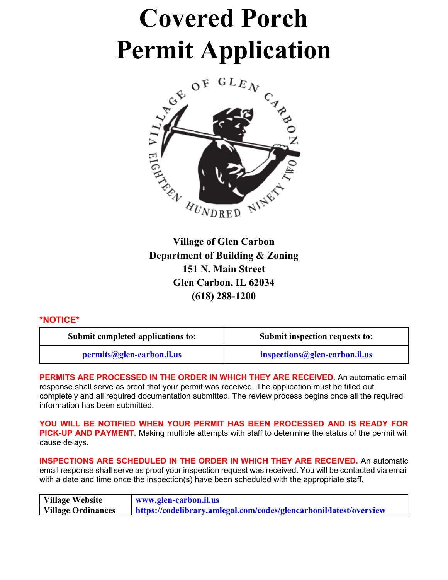# **Covered Porch Permit Application**



**Village of Glen Carbon Department of Building & Zoning 151 N. Main Street Glen Carbon, IL 62034 (618) 288-1200**

### **\*NOTICE\***

| Submit completed applications to: | Submit inspection requests to: |  |
|-----------------------------------|--------------------------------|--|
| permits@glen-carbon.il.us         | inspections@glen-carbon.il.us  |  |

**PERMITS ARE PROCESSED IN THE ORDER IN WHICH THEY ARE RECEIVED.** An automatic email response shall serve as proof that your permit was received. The application must be filled out completely and all required documentation submitted. The review process begins once all the required information has been submitted.

**YOU WILL BE NOTIFIED WHEN YOUR PERMIT HAS BEEN PROCESSED AND IS READY FOR PICK-UP AND PAYMENT.** Making multiple attempts with staff to determine the status of the permit will cause delays.

**INSPECTIONS ARE SCHEDULED IN THE ORDER IN WHICH THEY ARE RECEIVED.** An automatic email response shall serve as proof your inspection request was received. You will be contacted via email with a date and time once the inspection(s) have been scheduled with the appropriate staff.

| Village Website    | www.glen-carbon.il.us                                              |  |  |
|--------------------|--------------------------------------------------------------------|--|--|
| Village Ordinances | https://codelibrary.amlegal.com/codes/glencarbonil/latest/overview |  |  |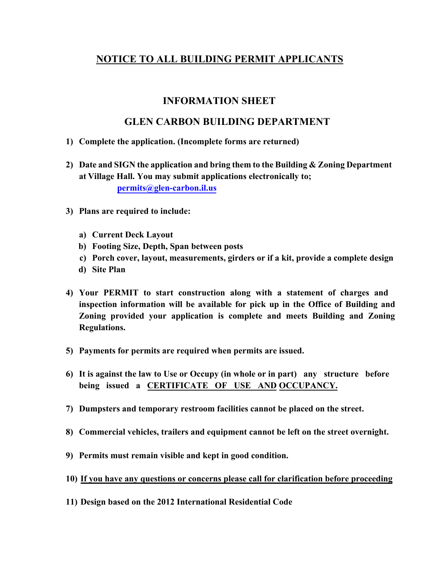### **NOTICE TO ALL BUILDING PERMIT APPLICANTS**

### **INFORMATION SHEET**

### **GLEN CARBON BUILDING DEPARTMENT**

- **1) Complete the application. (Incomplete forms are returned)**
- **2) Date and SIGN the application and bring them to the Building & Zoning Department at Village Hall. You may submit applications electronically to; permits@glen-carbon.il.us**
- **3) Plans are required to include:**
	- **a) Current Deck Layout**
	- **b) Footing Size, Depth, Span between posts**
	- **c) Porch cover, layout, measurements, girders or if a kit, provide a complete design**
	- **d) Site Plan**
- **4) Your PERMIT to start construction along with a statement of charges and inspection information will be available for pick up in the Office of Building and Zoning provided your application is complete and meets Building and Zoning Regulations.**
- **5) Payments for permits are required when permits are issued.**
- **6) It is against the law to Use or Occupy (in whole or in part) any structure before being issued a CERTIFICATE OF USE AND OCCUPANCY.**
- **7) Dumpsters and temporary restroom facilities cannot be placed on the street.**
- **8) Commercial vehicles, trailers and equipment cannot be left on the street overnight.**
- **9) Permits must remain visible and kept in good condition.**
- **10) If you have any questions or concerns please call for clarification before proceeding**
- **11) Design based on the 2012 International Residential Code**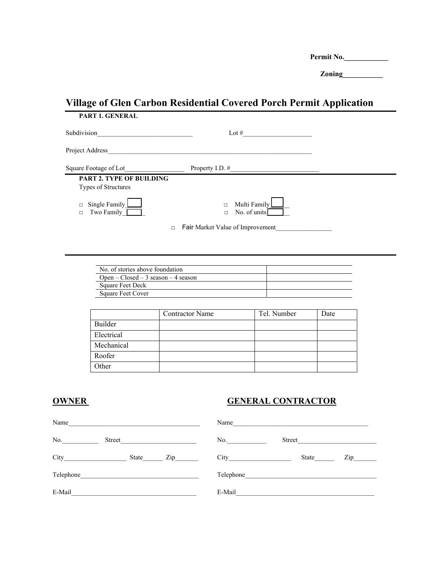Permit No.

 **Zoning\_\_\_\_\_\_\_\_\_\_\_** 

### **Village of Glen Carbon Residential Covered Porch Permit Application PART 1. GENERAL**

| 1710 1. 92. 200                                 |                                                   |  |
|-------------------------------------------------|---------------------------------------------------|--|
| Subdivision                                     | Lot $#$                                           |  |
| Project Address                                 |                                                   |  |
| Square Footage of Lot_                          | Property I.D. $#$                                 |  |
| PART 2. TYPE OF BUILDING<br>Types of Structures |                                                   |  |
| Single Family<br>$\Box$<br>Two Family<br>$\Box$ | Multi Family<br>$\Box$<br>No. of units<br>$\Box$  |  |
|                                                 | <b>Fair Market Value of Improvement</b><br>$\Box$ |  |

| No. of stories above foundation     |  |
|-------------------------------------|--|
| Onen – Closed – 3 season – 4 season |  |
| <b>Square Feet Deck</b>             |  |
| Square Feet Cover                   |  |

|            | <b>Contractor Name</b> | Tel. Number | Date |
|------------|------------------------|-------------|------|
| Builder    |                        |             |      |
| Electrical |                        |             |      |
| Mechanical |                        |             |      |
| Roofer     |                        |             |      |
| Other      |                        |             |      |

### **OWNER GENERAL CONTRACTOR**

| Name      |        |     | Name      |        |     |
|-----------|--------|-----|-----------|--------|-----|
| No.       | Street |     | No.       | Street |     |
| City      | State  | Zip | City      | State  | Zip |
| Telephone |        |     | Telephone |        |     |
| E-Mail    |        |     | E-Mail    |        |     |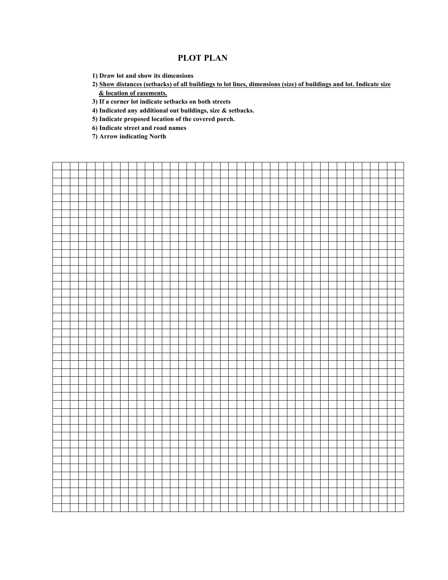### **PLOT PLAN**

**1) Draw lot and show its dimensions**

**2) Show distances (setbacks) of all buildings to lot lines, dimensions (size) of buildings and lot. Indicate size & location of easements.**

**3) If a corner lot indicate setbacks on both streets**

**4) Indicated any additional out buildings, size & setbacks.**

**5) Indicate proposed location of the covered porch.**

**6) Indicate street and road names**

**7) Arrow indicating North**

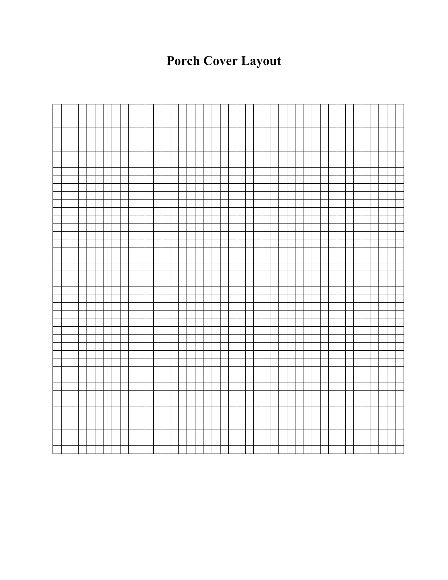## **Porch Cover Layout**